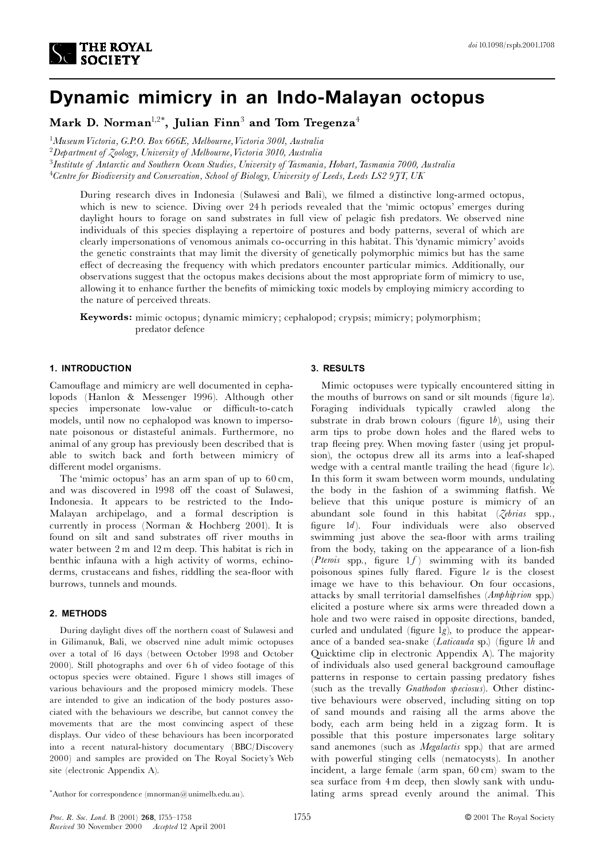

# **Dynamic mimicry in an Indo-Malayan octopus**

**Mark D. Norman**1,2\***, Julian Finn**<sup>3</sup> **and Tom Tregenza**<sup>4</sup>

1 *MuseumVictoria, G.P.O. Box 666E, Melbourne,Victoria 3001, Australia*

<sup>2</sup>*Department of Zoology, University of Melbourne,Victoria 3010, Australia*

<sup>3</sup>*Institute of Antarctic and Southern Ocean Studies, University of Tasmania, Hobart,Tasmania 7000, Australia*

<sup>4</sup>*Centre for Biodiversity and Conservation, School of Biology, University of Leeds, Leeds LS2 9JT, UK*

During research dives in Indonesia (Sulawesi and Bali), we filmed a distinctive long-armed octopus, which is new to science. Diving over 24 h periods revealed that the 'mimic octopus' emerges during daylight hours to forage on sand substrates in full view of pelagic fish predators. We observed nine individuals of this species displaying a repertoire of postures and body patterns, several of which are clearly impersonations of venomous animals co-occurring in this habitat. This `dynamic mimicry' avoids the genetic constraints that may limit the diversity of genetically polymorphic mimics but has the same effect of decreasing the frequency with which predators encounter particular mimics. Additionally, our observations suggest that the octopus makes decisions about the most appropriate form of mimicry to use, allowing it to enhance further the benefits of mimicking toxic models by employing mimicry according to the nature of perceived threats.

**Keywords:** mimic octopus; dynamic mimicry; cephalopod; crypsis; mimicry; polymorphism; predator defence

#### **1. INTRODUCTION**

Camouflage and mimicry are well documented in cephalopods (Hanlon & Messenger 1996). Although other species impersonate low-value or difficult-to-catch models, until now no cephalopod was known to impersonate poisonous or distasteful animals. Furthermore, no animal of any group has previously been described that is able to switch back and forth between mimicry of different model organisms.

The 'mimic octopus' has an arm span of up to 60 cm, and was discovered in 1998 off the coast of Sulawesi, Indonesia. It appears to be restricted to the Indo-Malayan archipelago, and a formal description is currently in process (Norman & Hochberg 2001). It is found on silt and sand substrates off river mouths in water between 2 m and 12 m deep. This habitat is rich in benthic infauna with a high activity of worms, echinoderms, crustaceans and fishes, riddling the sea-floor with burrows, tunnels and mounds.

### **2. METHODS**

During daylight dives off the northern coast of Sulawesi and in Gilimanuk, Bali, we observed nine adult mimic octopuses over a total of 16 days (between October 1998 and October 2000). Still photographs and over 6 h of video footage of this octopus species were obtained. Figure 1 shows still images of various behaviours and the proposed mimicry models. These are intended to give an indication of the body postures associated with the behaviours we describe, but cannot convey the movements that are the most convincing aspect of these displays. Our video of these behaviours has been incorporated into a recent natural-history documentary (BBC/Discovery 2000) and samples are provided on The Royal Society's Web site (electronic Appendix A).

## **3. RESULTS**

Mimic octopuses were typically encountered sitting in the mouths of burrows on sand or silt mounds (figure 1*a*). Foraging individuals typically crawled along the substrate in drab brown colours (figure  $1b$ ), using their arm tips to probe down holes and the flared webs to trap fleeing prey. When moving faster (using jet propulsion), the octopus drew all its arms into a leaf-shaped wedge with a central mantle trailing the head (figure  $1c$ ). In this form it swam between worm mounds, undulating the body in the fashion of a swimming flatfish. We believe that this unique posture is mimicry of an abundant sole found in this habitat (*Zebrias* spp., ¢gure 1*d*). Four individuals were also observed swimming just above the sea-floor with arms trailing from the body, taking on the appearance of a lion-fish  $(Pt$ erois spp., figure  $1f$ ) swimming with its banded poisonous spines fully flared. Figure le is the closest image we have to this behaviour. On four occasions, attacks by small territorial damsel¢shes (*Amphiprion* spp.) elicited a posture where six arms were threaded down a hole and two were raised in opposite directions, banded, curled and undulated (figure  $lg$ ), to produce the appearance of a banded sea-snake (*Laticauda* sp.) (figure 1*h* and Quicktime clip in electronic Appendix A). The majority of individuals also used general background camouflage patterns in response to certain passing predatory fishes (such as the trevally *Gnathodon speciosus*). Other distinctive behaviours were observed, including sitting on top of sand mounds and raising all the arms above the body, each arm being held in a zigzag form. It is possible that this posture impersonates large solitary sand anemones (such as *Megalactis* spp.) that are armed with powerful stinging cells (nematocysts). In another incident, a large female (arm span, 60 cm) swam to the sea surface from 4 m deep, then slowly sank with undulating arms spread evenly around the animal. This

<sup>\*</sup>Author for correspondence  $(mnorman@unimelb.edu.au)$ .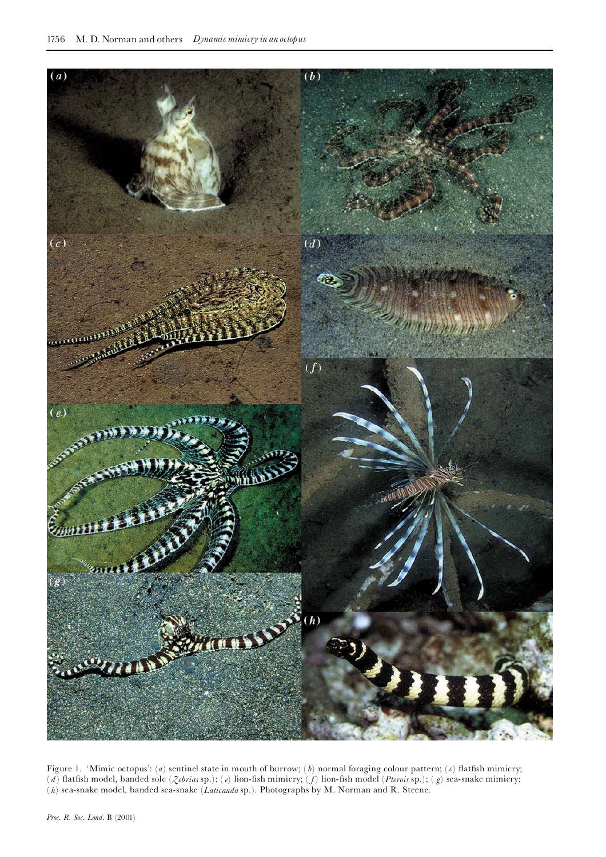

Figure 1. 'Mimic octopus': (*a*) sentinel state in mouth of burrow; (*b*) normal foraging colour pattern; (*c*) flatfish mimicry; (*d*) flatfish model, banded sole (*Zebrias* sp.); (*e*) lion-fish mimicry; (*f*) lion-fish model (*Pterois* sp.); (*g*) sea-snake mimicry; ( *h*) sea-snake model, banded sea-snake (*Laticauda* sp.). Photographs by M. Norman and R. Steene.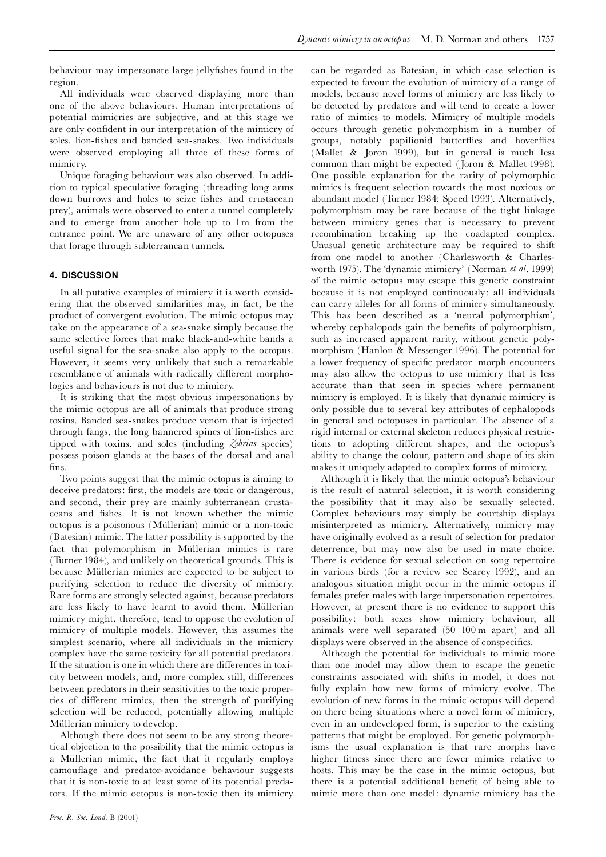can be regarded as Batesian, in which case selection is

behaviour may impersonate large jelly¢shes found in the region.

All individuals were observed displaying more than one of the above behaviours. Human interpretations of potential mimicries are subjective, and at this stage we are only confident in our interpretation of the mimicry of soles, lion-fishes and banded sea-snakes. Two individuals were observed employing all three of these forms of mimicry.

Unique foraging behaviour was also observed. In addition to typical speculative foraging (threading long arms down burrows and holes to seize fishes and crustacean prey), animals were observed to enter a tunnel completely and to emerge from another hole up to 1m from the entrance point. We are unaware of any other octopuses that forage through subterranean tunnels.

## **4. DISCUSSION**

In all putative examples of mimicry it is worth considering that the observed similarities may, in fact, be the product of convergent evolution. The mimic octopus may take on the appearance of a sea-snake simply because the same selective forces that make black-and-white bands a useful signal for the sea-snake also apply to the octopus. However, it seems very unlikely that such a remarkable resemblance of animals with radically different morphologies and behaviours is not due to mimicry.

It is striking that the most obvious impersonations by the mimic octopus are all of animals that produce strong toxins. Banded sea-snakes produce venom that is injected through fangs, the long bannered spines of lion-fishes are tipped with toxins, and soles (including *Zebrias* species) possess poison glands at the bases of the dorsal and anal ¢ns.

Two points suggest that the mimic octopus is aiming to deceive predators: first, the models are toxic or dangerous, and second, their prey are mainly subterranean crustaceans and fishes. It is not known whether the mimic octopus is a poisonous (MÏllerian) mimic or a non-toxic (Batesian) mimic. The latter possibility is supported by the fact that polymorphism in Müllerian mimics is rare (Turner 1984), and unlikely on theoretical grounds. This is because Müllerian mimics are expected to be subject to purifying selection to reduce the diversity of mimicry. Rare forms are strongly selected against, because predators are less likely to have learnt to avoid them. Müllerian mimicry might, therefore, tend to oppose the evolution of mimicry of multiple models. However, this assumes the simplest scenario, where all individuals in the mimicry complex have the same toxicity for all potential predators. If the situation is one in which there are differences in toxicity between models, and, more complex still, differences between predators in their sensitivities to the toxic properties of different mimics, then the strength of purifying selection will be reduced, potentially allowing multiple Müllerian mimicry to develop.

Although there does not seem to be any strong theoretical objection to the possibility that the mimic octopus is a Müllerian mimic, the fact that it regularly employs camou£age and predator-avoidance behaviour suggests that it is non-toxic to at least some of its potential predators. If the mimic octopus is non-toxic then its mimicry

expected to favour the evolution of mimicry of a range of models, because novel forms of mimicry are less likely to be detected by predators and will tend to create a lower ratio of mimics to models. Mimicry of multiple models occurs through genetic polymorphism in a number of groups, notably papilionid butterflies and hoverflies (Mallet & Joron 1999), but in general is much less common than might be expected ( Joron & Mallet 1998). One possible explanation for the rarity of polymorphic mimics is frequent selection towards the most noxious or abundant model (Turner 1984; Speed 1993). Alternatively, polymorphism may be rare because of the tight linkage between mimicry genes that is necessary to prevent recombination breaking up the coadapted complex. Unusual genetic architecture may be required to shift from one model to another (Charlesworth & Charlesworth 1975). The `dynamic mimicry' (Norman *et al*. 1999) of the mimic octopus may escape this genetic constraint because it is not employed continuously: all individuals can carry alleles for all forms of mimicry simultaneously. This has been described as a 'neural polymorphism', whereby cephalopods gain the benefits of polymorphism, such as increased apparent rarity, without genetic polymorphism (Hanlon & Messenger 1996). The potential for a lower frequency of specific predator-morph encounters may also allow the octopus to use mimicry that is less accurate than that seen in species where permanent mimicry is employed. It is likely that dynamic mimicry is only possible due to several key attributes of cephalopods in general and octopuses in particular. The absence of a rigid internal or external skeleton reduces physical restrictions to adopting different shapes, and the octopus's ability to change the colour, pattern and shape of its skin makes it uniquely adapted to complex forms of mimicry.

Although it is likely that the mimic octopus's behaviour is the result of natural selection, it is worth considering the possibility that it may also be sexually selected. Complex behaviours may simply be courtship displays misinterpreted as mimicry. Alternatively, mimicry may have originally evolved as a result of selection for predator deterrence, but may now also be used in mate choice. There is evidence for sexual selection on song repertoire in various birds (for a review see Searcy 1992), and an analogous situation might occur in the mimic octopus if females prefer males with large impersonation repertoires. However, at present there is no evidence to support this possibility: both sexes show mimicry behaviour, all animals were well separated (50^100 m apart) and all displays were observed in the absence of conspecifics.

Although the potential for individuals to mimic more than one model may allow them to escape the genetic constraints associated with shifts in model, it does not fully explain how new forms of mimicry evolve. The evolution of new forms in the mimic octopus will depend on there being situations where a novel form of mimicry, even in an undeveloped form, is superior to the existing patterns that might be employed. For genetic polymorphisms the usual explanation is that rare morphs have higher fitness since there are fewer mimics relative to hosts. This may be the case in the mimic octopus, but there is a potential additional benefit of being able to mimic more than one model: dynamic mimicry has the